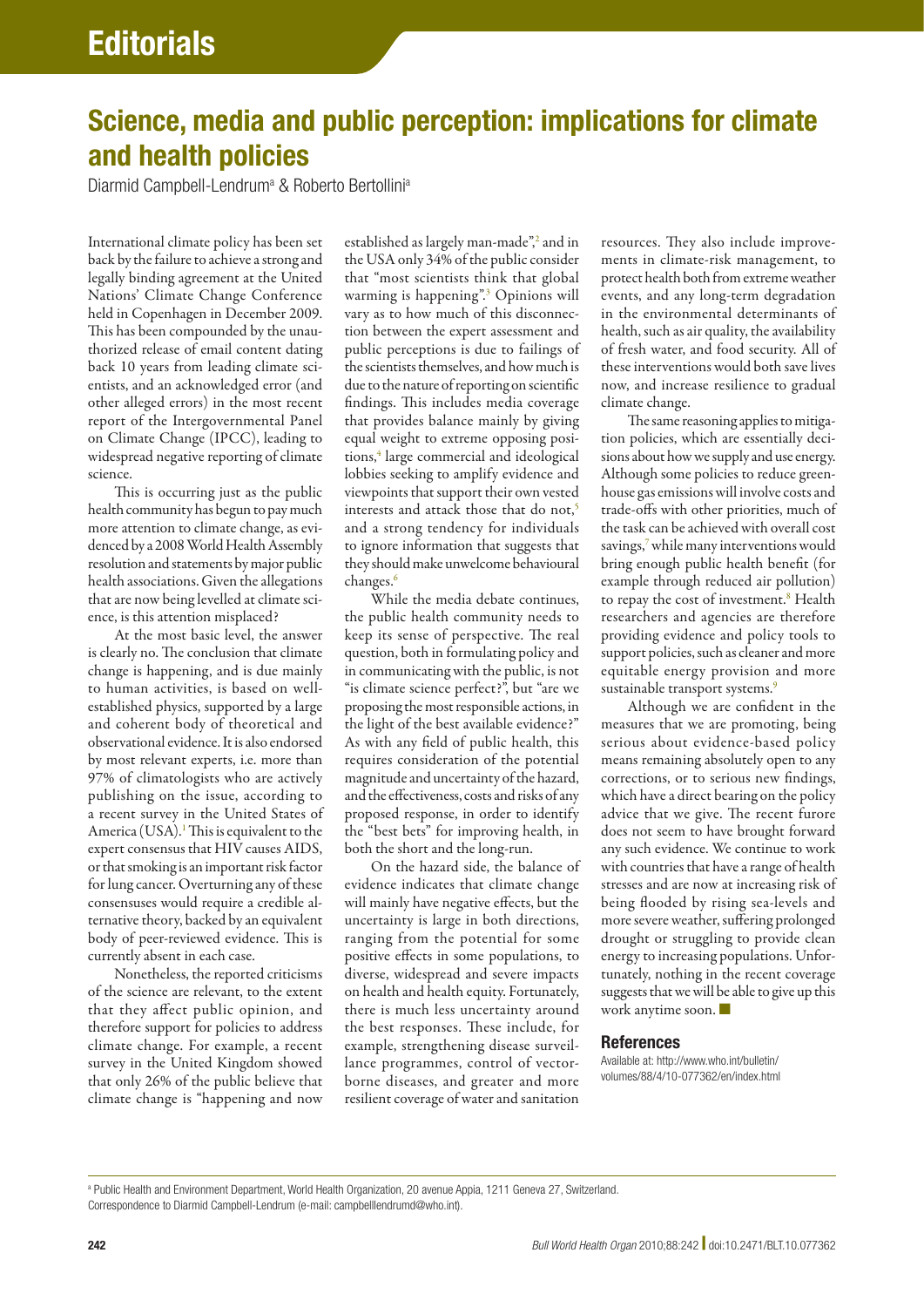## Science, media and public perception: implications for climate and health policies

Diarmid Campbell-Lendrum<sup>a</sup> & Roberto Bertollini<sup>a</sup>

International climate policy has been set back by the failure to achieve a strong and legally binding agreement at the United Nations' Climate Change Conference held in Copenhagen in December 2009. This has been compounded by the unauthorized release of email content dating back 10 years from leading climate scientists, and an acknowledged error (and other alleged errors) in the most recent report of the Intergovernmental Panel on Climate Change (IPCC), leading to widespread negative reporting of climate science.

This is occurring just as the public health community has begun to pay much more attention to climate change, as evidenced by a 2008 World Health Assembly resolution and statements by major public health associations. Given the allegations that are now being levelled at climate science, is this attention misplaced?

At the most basic level, the answer is clearly no. The conclusion that climate change is happening, and is due mainly to human activities, is based on wellestablished physics, supported by a large and coherent body of theoretical and observational evidence. It is also endorsed by most relevant experts, i.e. more than 97% of climatologists who are actively publishing on the issue, according to a recent survey in the United States of America (USA).<sup>1</sup> This is equivalent to the expert consensus that HIV causes AIDS, or that smoking is an important risk factor for lung cancer. Overturning any of these consensuses would require a credible alternative theory, backed by an equivalent body of peer-reviewed evidence. This is currently absent in each case.

Nonetheless, the reported criticisms of the science are relevant, to the extent that they affect public opinion, and therefore support for policies to address climate change. For example, a recent survey in the United Kingdom showed that only 26% of the public believe that climate change is "happening and now

established as largely man-made",<sup>[2](#page-1-1)</sup> and in the USA only 34% of the public consider that "most scientists think that global warming is happening".<sup>3</sup> Opinions will vary as to how much of this disconnection between the expert assessment and public perceptions is due to failings of the scientists themselves, and how much is due to the nature of reporting on scientific findings. This includes media coverage that provides balance mainly by giving equal weight to extreme opposing posi-tions,<sup>[4](#page-1-3)</sup> large commercial and ideological lobbies seeking to amplify evidence and viewpoints that support their own vested interests and attack those that do not,<sup>5</sup> and a strong tendency for individuals to ignore information that suggests that they should make unwelcome behavioural changes.[6](#page-1-5)

While the media debate continues, the public health community needs to keep its sense of perspective. The real question, both in formulating policy and in communicating with the public, is not "is climate science perfect?", but "are we proposing the most responsible actions, in the light of the best available evidence?" As with any field of public health, this requires consideration of the potential magnitude and uncertainty of the hazard, and the effectiveness, costs and risks of any proposed response, in order to identify the "best bets" for improving health, in both the short and the long-run.

On the hazard side, the balance of evidence indicates that climate change will mainly have negative effects, but the uncertainty is large in both directions, ranging from the potential for some positive effects in some populations, to diverse, widespread and severe impacts on health and health equity. Fortunately, there is much less uncertainty around the best responses. These include, for example, strengthening disease surveillance programmes, control of vectorborne diseases, and greater and more resilient coverage of water and sanitation

resources. They also include improvements in climate-risk management, to protect health both from extreme weather events, and any long-term degradation in the environmental determinants of health, such as air quality, the availability of fresh water, and food security. All of these interventions would both save lives now, and increase resilience to gradual climate change.

The same reasoning applies to mitigation policies, which are essentially decisions about how we supply and use energy. Although some policies to reduce greenhouse gas emissions will involve costs and trade-offs with other priorities, much of the task can be achieved with overall cost savings,<sup>[7](#page-1-6)</sup> while many interventions would bring enough public health benefit (for example through reduced air pollution) to repay the cost of investment.<sup>[8](#page-1-7)</sup> Health researchers and agencies are therefore providing evidence and policy tools to support policies, such as cleaner and more equitable energy provision and more sustainable transport systems.<sup>9</sup>

Although we are confident in the measures that we are promoting, being serious about evidence-based policy means remaining absolutely open to any corrections, or to serious new findings, which have a direct bearing on the policy advice that we give. The recent furore does not seem to have brought forward any such evidence. We continue to work with countries that have a range of health stresses and are now at increasing risk of being flooded by rising sea-levels and more severe weather, suffering prolonged drought or struggling to provide clean energy to increasing populations. Unfortunately, nothing in the recent coverage suggests that we will be able to give up this work anytime soon. ■

## References

Available at: http://www.who.int/bulletin/ volumes/88/4/10-077362/en/index.html

a Public Health and Environment Department, World Health Organization, 20 avenue Appia, 1211 Geneva 27, Switzerland. Correspondence to Diarmid Campbell-Lendrum (e-mail: campbelllendrumd@who.int).